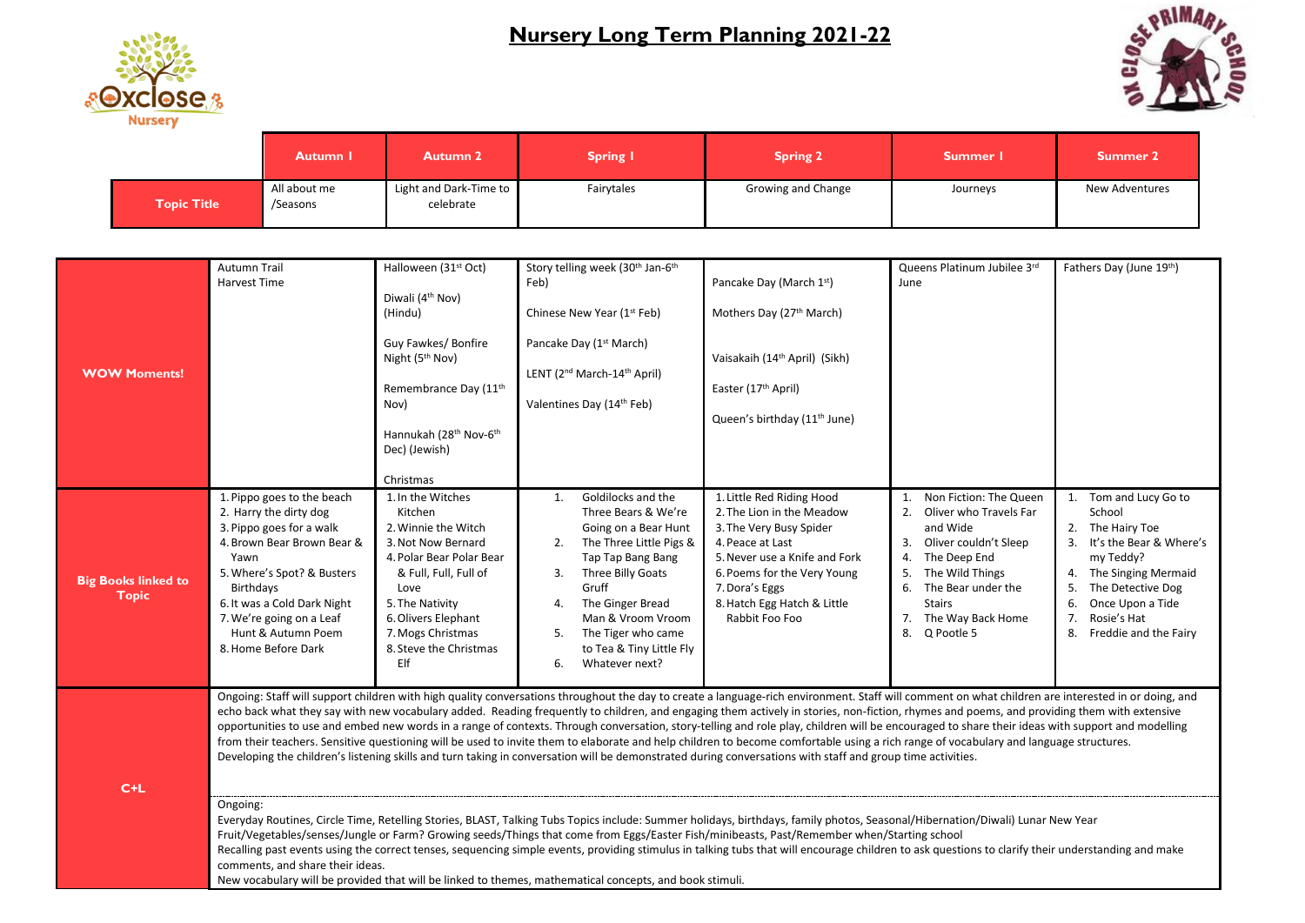## **Nursery Long Term Planning 2021-22**





|             | <b>Autumn I</b>          | <b>Autumn 2</b>                     | <b>Spring I</b> | <b>Spring 2</b>    | Summer I | <b>Summer 2</b> |
|-------------|--------------------------|-------------------------------------|-----------------|--------------------|----------|-----------------|
| Topic Title | All about me<br>/Seasons | Light and Dark-Time to<br>celebrate | Fairytales      | Growing and Change | Journeys | New Adventures  |

| <b>WOW Moments!</b>                        | <b>Autumn Trail</b><br><b>Harvest Time</b>                                                                                                                                                                                                                                                                                                                                                                                                                                                                                                                                                                                                                                                                                                                                                                                                                                                                                                                 | Halloween (31 <sup>st</sup> Oct)<br>Diwali (4 <sup>th</sup> Nov)<br>(Hindu)<br>Guy Fawkes/ Bonfire<br>Night (5 <sup>th</sup> Nov)<br>Remembrance Day (11th<br>Nov)<br>Hannukah (28 <sup>th</sup> Nov-6 <sup>th</sup><br>Dec) (Jewish)<br>Christmas | Story telling week (30 <sup>th</sup> Jan-6 <sup>th</sup><br>Feb)<br>Chinese New Year (1 <sup>st</sup> Feb)<br>Pancake Day (1 <sup>st</sup> March)<br>LENT (2 <sup>nd</sup> March-14 <sup>th</sup> April)<br>Valentines Day (14th Feb)                                                            | Pancake Day (March 1st)<br>Mothers Day (27th March)<br>Vaisakaih (14th April) (Sikh)<br>Easter (17th April)<br>Queen's birthday (11 <sup>th</sup> June)                                                                                  | Queens Platinum Jubilee 3rd<br>June                                                                                                                                                                                                    | Fathers Day (June 19th)                                                                                                                                                                                               |  |
|--------------------------------------------|------------------------------------------------------------------------------------------------------------------------------------------------------------------------------------------------------------------------------------------------------------------------------------------------------------------------------------------------------------------------------------------------------------------------------------------------------------------------------------------------------------------------------------------------------------------------------------------------------------------------------------------------------------------------------------------------------------------------------------------------------------------------------------------------------------------------------------------------------------------------------------------------------------------------------------------------------------|----------------------------------------------------------------------------------------------------------------------------------------------------------------------------------------------------------------------------------------------------|--------------------------------------------------------------------------------------------------------------------------------------------------------------------------------------------------------------------------------------------------------------------------------------------------|------------------------------------------------------------------------------------------------------------------------------------------------------------------------------------------------------------------------------------------|----------------------------------------------------------------------------------------------------------------------------------------------------------------------------------------------------------------------------------------|-----------------------------------------------------------------------------------------------------------------------------------------------------------------------------------------------------------------------|--|
| <b>Big Books linked to</b><br><b>Topic</b> | 1. Pippo goes to the beach<br>2. Harry the dirty dog<br>3. Pippo goes for a walk<br>4. Brown Bear Brown Bear &<br>Yawn<br>5. Where's Spot? & Busters<br>Birthdays<br>6. It was a Cold Dark Night<br>7. We're going on a Leaf<br>Hunt & Autumn Poem<br>8. Home Before Dark                                                                                                                                                                                                                                                                                                                                                                                                                                                                                                                                                                                                                                                                                  | 1. In the Witches<br>Kitchen<br>2. Winnie the Witch<br>3. Not Now Bernard<br>4. Polar Bear Polar Bear<br>& Full, Full, Full of<br>Love<br>5. The Nativity<br>6. Olivers Elephant<br>7. Mogs Christmas<br>8. Steve the Christmas<br>Elf             | Goldilocks and the<br>1.<br>Three Bears & We're<br>Going on a Bear Hunt<br>The Three Little Pigs &<br>2.<br>Tap Tap Bang Bang<br>Three Billy Goats<br>3.<br>Gruff<br>The Ginger Bread<br>4.<br>Man & Vroom Vroom<br>The Tiger who came<br>5.<br>to Tea & Tiny Little Fly<br>6.<br>Whatever next? | 1. Little Red Riding Hood<br>2. The Lion in the Meadow<br>3. The Very Busy Spider<br>4. Peace at Last<br>5. Never use a Knife and Fork<br>6. Poems for the Very Young<br>7. Dora's Eggs<br>8. Hatch Egg Hatch & Little<br>Rabbit Foo Foo | Non Fiction: The Queen<br>Oliver who Travels Far<br>2.<br>and Wide<br>Oliver couldn't Sleep<br>3.<br>The Deep End<br>4.<br>The Wild Things<br>5.<br>6.<br>The Bear under the<br><b>Stairs</b><br>7. The Way Back Home<br>8. Q Pootle 5 | Tom and Lucy Go to<br>School<br>The Hairy Toe<br>It's the Bear & Where's<br>my Teddy?<br>The Singing Mermaid<br>4.<br>The Detective Dog<br>Once Upon a Tide<br>6.<br>Rosie's Hat<br>7.<br>8.<br>Freddie and the Fairy |  |
| $C+L$                                      | Ongoing: Staff will support children with high quality conversations throughout the day to create a language-rich environment. Staff will comment on what children are interested in or doing, and<br>echo back what they say with new vocabulary added. Reading frequently to children, and engaging them actively in stories, non-fiction, rhymes and poems, and providing them with extensive<br>opportunities to use and embed new words in a range of contexts. Through conversation, story-telling and role play, children will be encouraged to share their ideas with support and modelling<br>from their teachers. Sensitive questioning will be used to invite them to elaborate and help children to become comfortable using a rich range of vocabulary and language structures.<br>Developing the children's listening skills and turn taking in conversation will be demonstrated during conversations with staff and group time activities. |                                                                                                                                                                                                                                                    |                                                                                                                                                                                                                                                                                                  |                                                                                                                                                                                                                                          |                                                                                                                                                                                                                                        |                                                                                                                                                                                                                       |  |
|                                            | Ongoing:<br>Everyday Routines, Circle Time, Retelling Stories, BLAST, Talking Tubs Topics include: Summer holidays, birthdays, family photos, Seasonal/Hibernation/Diwali) Lunar New Year<br>Fruit/Vegetables/senses/Jungle or Farm? Growing seeds/Things that come from Eggs/Easter Fish/minibeasts, Past/Remember when/Starting school<br>1. See also constants to construct the first one of the care and the large also also constant the constant of the constant of the constant of the constant of the constant of the constant of the constant of the constant of                                                                                                                                                                                                                                                                                                                                                                                  |                                                                                                                                                                                                                                                    |                                                                                                                                                                                                                                                                                                  |                                                                                                                                                                                                                                          |                                                                                                                                                                                                                                        |                                                                                                                                                                                                                       |  |

Recalling past events using the correct tenses, sequencing simple events, providing stimulus in talking tubs that will encourage children to ask questions to clarify their understanding and make comments, and share their ideas.

New vocabulary will be provided that will be linked to themes, mathematical concepts, and book stimuli.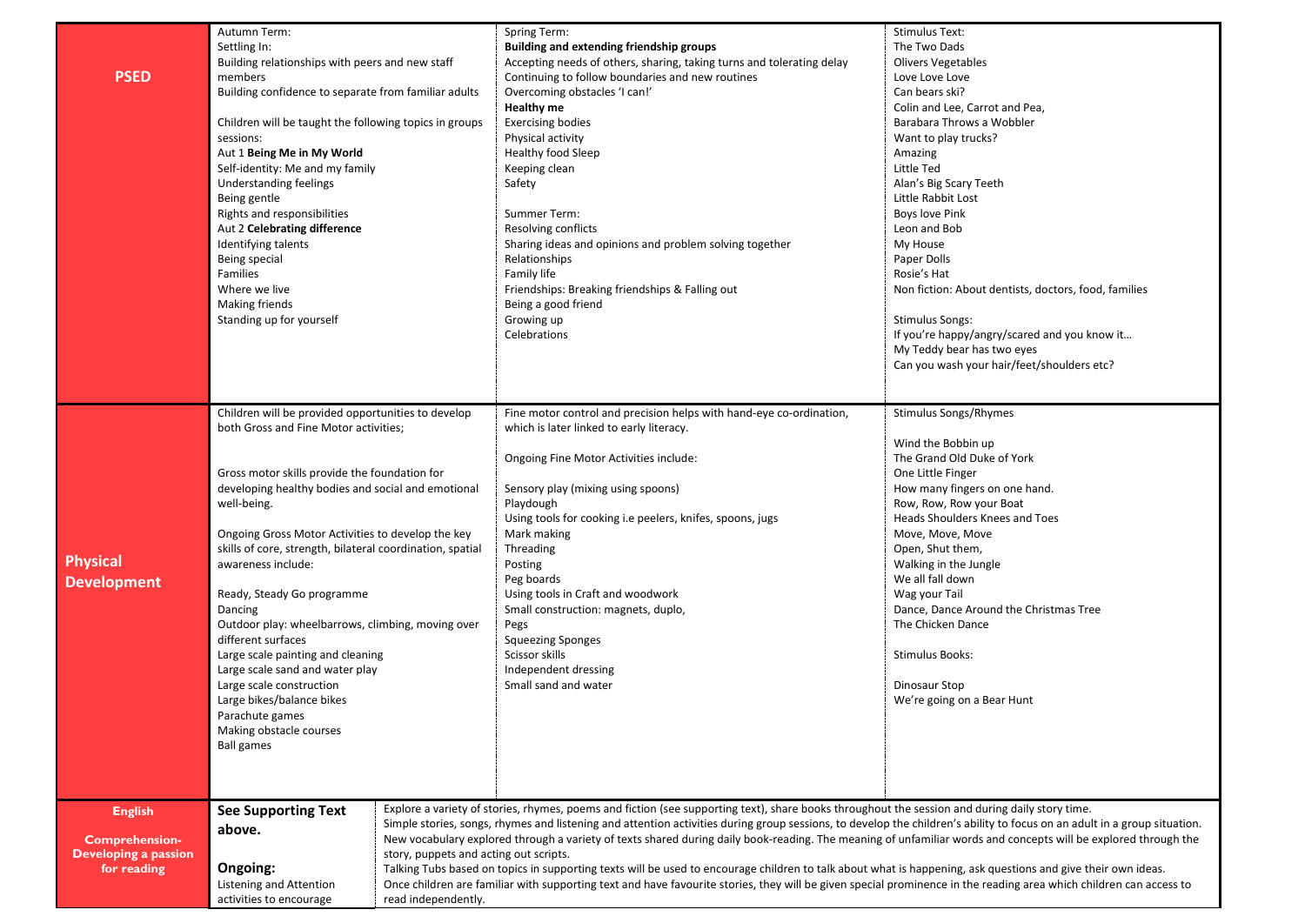|                                             | Autumn Term:                                                                                |                                        | <b>Spring Term:</b>                                                                                                                                                      | <b>Stimulus Text:</b>                                |  |
|---------------------------------------------|---------------------------------------------------------------------------------------------|----------------------------------------|--------------------------------------------------------------------------------------------------------------------------------------------------------------------------|------------------------------------------------------|--|
|                                             |                                                                                             |                                        |                                                                                                                                                                          |                                                      |  |
|                                             | Settling In:                                                                                |                                        | Building and extending friendship groups                                                                                                                                 | The Two Dads                                         |  |
|                                             | Building relationships with peers and new staff                                             |                                        | Accepting needs of others, sharing, taking turns and tolerating delay                                                                                                    | <b>Olivers Vegetables</b>                            |  |
| <b>PSED</b>                                 | members                                                                                     |                                        | Continuing to follow boundaries and new routines                                                                                                                         | Love Love Love                                       |  |
|                                             | Building confidence to separate from familiar adults                                        |                                        | Overcoming obstacles 'I can!'                                                                                                                                            | Can bears ski?                                       |  |
|                                             |                                                                                             |                                        | <b>Healthy me</b>                                                                                                                                                        | Colin and Lee, Carrot and Pea,                       |  |
|                                             | Children will be taught the following topics in groups                                      |                                        | <b>Exercising bodies</b>                                                                                                                                                 | Barabara Throws a Wobbler                            |  |
|                                             | sessions:                                                                                   |                                        | Physical activity                                                                                                                                                        | Want to play trucks?                                 |  |
|                                             | Aut 1 Being Me in My World                                                                  |                                        | Healthy food Sleep                                                                                                                                                       | Amazing                                              |  |
|                                             | Self-identity: Me and my family                                                             |                                        | Keeping clean                                                                                                                                                            | Little Ted                                           |  |
|                                             | Understanding feelings                                                                      |                                        | Safety                                                                                                                                                                   | Alan's Big Scary Teeth                               |  |
| Being gentle<br>Rights and responsibilities |                                                                                             |                                        |                                                                                                                                                                          |                                                      |  |
|                                             |                                                                                             |                                        | Little Rabbit Lost                                                                                                                                                       |                                                      |  |
|                                             |                                                                                             |                                        | Summer Term:                                                                                                                                                             | <b>Boys love Pink</b>                                |  |
|                                             | Aut 2 Celebrating difference                                                                |                                        | Resolving conflicts                                                                                                                                                      | Leon and Bob                                         |  |
|                                             | Identifying talents                                                                         |                                        | Sharing ideas and opinions and problem solving together                                                                                                                  | My House                                             |  |
|                                             | Being special                                                                               |                                        | Relationships                                                                                                                                                            | Paper Dolls                                          |  |
|                                             | Families                                                                                    |                                        | Family life                                                                                                                                                              | Rosie's Hat                                          |  |
|                                             | Where we live                                                                               |                                        | Friendships: Breaking friendships & Falling out                                                                                                                          | Non fiction: About dentists, doctors, food, families |  |
|                                             | Making friends                                                                              |                                        | Being a good friend                                                                                                                                                      |                                                      |  |
|                                             | Standing up for yourself                                                                    |                                        | Growing up                                                                                                                                                               | <b>Stimulus Songs:</b>                               |  |
|                                             |                                                                                             |                                        | Celebrations                                                                                                                                                             | If you're happy/angry/scared and you know it         |  |
|                                             |                                                                                             |                                        |                                                                                                                                                                          |                                                      |  |
|                                             |                                                                                             |                                        |                                                                                                                                                                          | My Teddy bear has two eyes                           |  |
|                                             |                                                                                             |                                        |                                                                                                                                                                          | Can you wash your hair/feet/shoulders etc?           |  |
|                                             |                                                                                             |                                        |                                                                                                                                                                          |                                                      |  |
|                                             |                                                                                             |                                        | Fine motor control and precision helps with hand-eye co-ordination,                                                                                                      | Stimulus Songs/Rhymes                                |  |
|                                             | Children will be provided opportunities to develop<br>both Gross and Fine Motor activities; |                                        | which is later linked to early literacy.                                                                                                                                 |                                                      |  |
|                                             |                                                                                             |                                        |                                                                                                                                                                          |                                                      |  |
|                                             |                                                                                             |                                        |                                                                                                                                                                          | Wind the Bobbin up                                   |  |
|                                             |                                                                                             |                                        | Ongoing Fine Motor Activities include:                                                                                                                                   | The Grand Old Duke of York                           |  |
|                                             | Gross motor skills provide the foundation for                                               |                                        |                                                                                                                                                                          | One Little Finger                                    |  |
|                                             | developing healthy bodies and social and emotional                                          |                                        | Sensory play (mixing using spoons)                                                                                                                                       | How many fingers on one hand.                        |  |
|                                             | well-being.                                                                                 |                                        | Playdough                                                                                                                                                                | Row, Row, Row your Boat                              |  |
|                                             |                                                                                             |                                        | Using tools for cooking i.e peelers, knifes, spoons, jugs                                                                                                                | Heads Shoulders Knees and Toes                       |  |
|                                             | Ongoing Gross Motor Activities to develop the key                                           |                                        | Mark making                                                                                                                                                              | Move, Move, Move                                     |  |
|                                             | skills of core, strength, bilateral coordination, spatial                                   |                                        | Threading                                                                                                                                                                | Open, Shut them,                                     |  |
| <b>Physical</b>                             | awareness include:                                                                          |                                        | Posting                                                                                                                                                                  | Walking in the Jungle                                |  |
|                                             |                                                                                             |                                        | Peg boards                                                                                                                                                               | We all fall down                                     |  |
| <b>Development</b>                          | Ready, Steady Go programme                                                                  |                                        | Using tools in Craft and woodwork                                                                                                                                        | Wag your Tail                                        |  |
|                                             |                                                                                             |                                        |                                                                                                                                                                          |                                                      |  |
|                                             | Dancing                                                                                     |                                        | Small construction: magnets, duplo,                                                                                                                                      | Dance, Dance Around the Christmas Tree               |  |
|                                             | Outdoor play: wheelbarrows, climbing, moving over                                           |                                        | Pegs                                                                                                                                                                     | The Chicken Dance                                    |  |
|                                             | different surfaces                                                                          |                                        | <b>Squeezing Sponges</b>                                                                                                                                                 |                                                      |  |
|                                             | Large scale painting and cleaning                                                           |                                        | Scissor skills                                                                                                                                                           | Stimulus Books:                                      |  |
|                                             | Large scale sand and water play                                                             |                                        | Independent dressing                                                                                                                                                     |                                                      |  |
|                                             | Large scale construction                                                                    |                                        | Small sand and water                                                                                                                                                     | Dinosaur Stop                                        |  |
|                                             | Large bikes/balance bikes                                                                   |                                        |                                                                                                                                                                          | We're going on a Bear Hunt                           |  |
|                                             | Parachute games                                                                             |                                        |                                                                                                                                                                          |                                                      |  |
|                                             | Making obstacle courses                                                                     |                                        |                                                                                                                                                                          |                                                      |  |
|                                             | <b>Ball games</b>                                                                           |                                        |                                                                                                                                                                          |                                                      |  |
|                                             |                                                                                             |                                        |                                                                                                                                                                          |                                                      |  |
|                                             |                                                                                             |                                        |                                                                                                                                                                          |                                                      |  |
|                                             |                                                                                             |                                        |                                                                                                                                                                          |                                                      |  |
| <b>English</b>                              | <b>See Supporting Text</b>                                                                  |                                        | Explore a variety of stories, rhymes, poems and fiction (see supporting text), share books throughout the session and during daily story time.                           |                                                      |  |
|                                             |                                                                                             |                                        | Simple stories, songs, rhymes and listening and attention activities during group sessions, to develop the children's ability to focus on an adult in a group situation. |                                                      |  |
| <b>Comprehension-</b>                       | above.                                                                                      |                                        | New vocabulary explored through a variety of texts shared during daily book-reading. The meaning of unfamiliar words and concepts will be explored through the           |                                                      |  |
| <b>Developing a passion</b>                 |                                                                                             | story, puppets and acting out scripts. |                                                                                                                                                                          |                                                      |  |
| for reading                                 | Ongoing:                                                                                    |                                        |                                                                                                                                                                          |                                                      |  |
|                                             |                                                                                             |                                        | Talking Tubs based on topics in supporting texts will be used to encourage children to talk about what is happening, ask questions and give their own ideas.             |                                                      |  |
|                                             | Listening and Attention                                                                     |                                        | Once children are familiar with supporting text and have favourite stories, they will be given special prominence in the reading area which children can access to       |                                                      |  |
|                                             | activities to encourage<br>read independently.                                              |                                        |                                                                                                                                                                          |                                                      |  |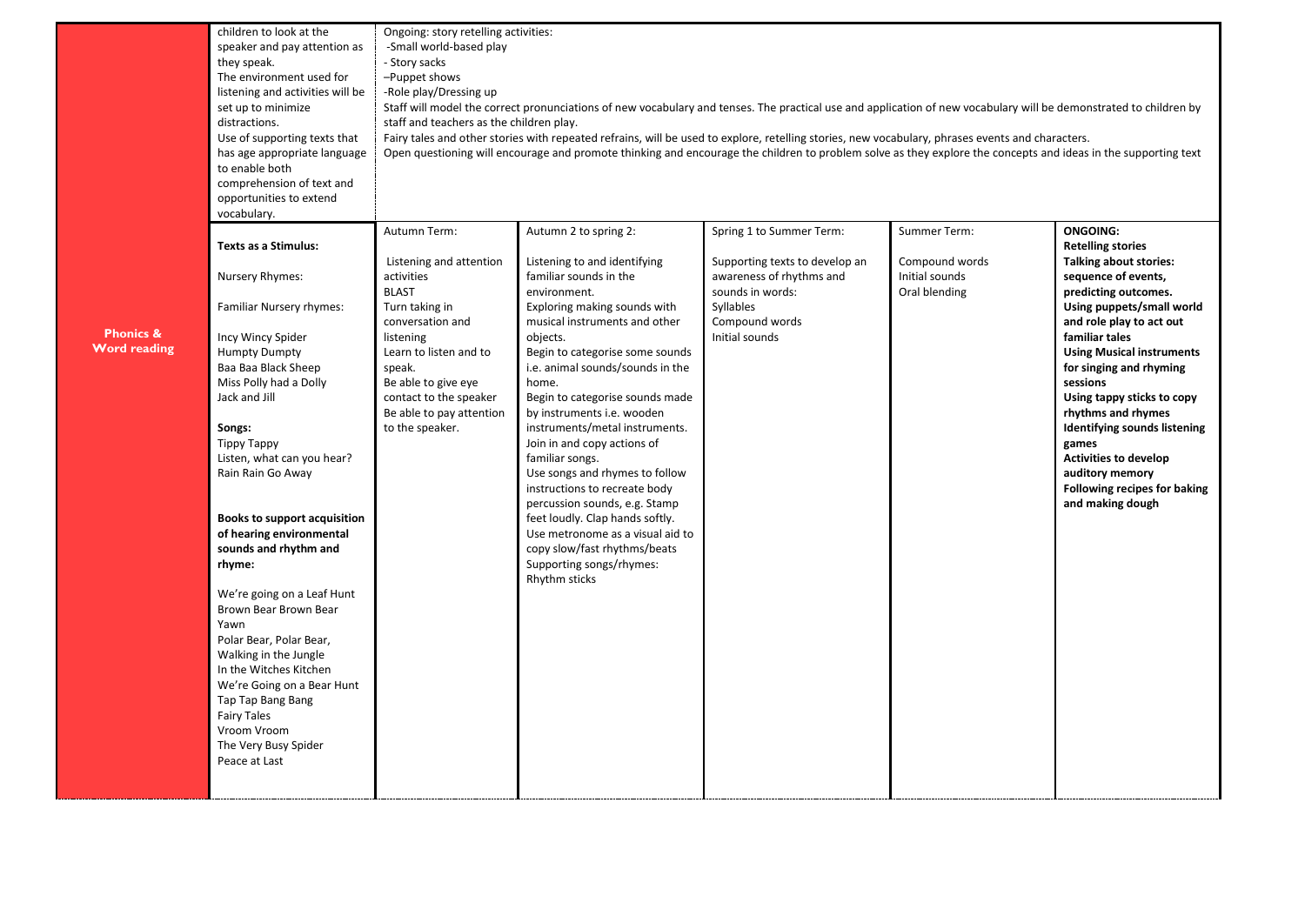|                      | children to look at the          | Ongoing: story retelling activities:                                                                                                                                                        |                                                                                                                                                                |                                |                |                                  |  |  |  |
|----------------------|----------------------------------|---------------------------------------------------------------------------------------------------------------------------------------------------------------------------------------------|----------------------------------------------------------------------------------------------------------------------------------------------------------------|--------------------------------|----------------|----------------------------------|--|--|--|
|                      | speaker and pay attention as     | -Small world-based play                                                                                                                                                                     |                                                                                                                                                                |                                |                |                                  |  |  |  |
|                      | they speak.                      | - Story sacks                                                                                                                                                                               |                                                                                                                                                                |                                |                |                                  |  |  |  |
|                      | The environment used for         | -Puppet shows                                                                                                                                                                               |                                                                                                                                                                |                                |                |                                  |  |  |  |
|                      | listening and activities will be | -Role play/Dressing up<br>Staff will model the correct pronunciations of new vocabulary and tenses. The practical use and application of new vocabulary will be demonstrated to children by |                                                                                                                                                                |                                |                |                                  |  |  |  |
|                      | set up to minimize               |                                                                                                                                                                                             |                                                                                                                                                                |                                |                |                                  |  |  |  |
|                      | distractions.                    | staff and teachers as the children play.                                                                                                                                                    |                                                                                                                                                                |                                |                |                                  |  |  |  |
|                      | Use of supporting texts that     | Fairy tales and other stories with repeated refrains, will be used to explore, retelling stories, new vocabulary, phrases events and characters.                                            |                                                                                                                                                                |                                |                |                                  |  |  |  |
|                      | has age appropriate language     |                                                                                                                                                                                             | Open questioning will encourage and promote thinking and encourage the children to problem solve as they explore the concepts and ideas in the supporting text |                                |                |                                  |  |  |  |
|                      | to enable both                   |                                                                                                                                                                                             |                                                                                                                                                                |                                |                |                                  |  |  |  |
|                      | comprehension of text and        |                                                                                                                                                                                             |                                                                                                                                                                |                                |                |                                  |  |  |  |
|                      | opportunities to extend          |                                                                                                                                                                                             |                                                                                                                                                                |                                |                |                                  |  |  |  |
|                      | vocabulary.                      |                                                                                                                                                                                             |                                                                                                                                                                |                                |                |                                  |  |  |  |
|                      |                                  | Autumn Term:                                                                                                                                                                                | Autumn 2 to spring 2:                                                                                                                                          | Spring 1 to Summer Term:       | Summer Term:   | <b>ONGOING:</b>                  |  |  |  |
|                      | <b>Texts as a Stimulus:</b>      |                                                                                                                                                                                             |                                                                                                                                                                |                                |                | <b>Retelling stories</b>         |  |  |  |
|                      |                                  | Listening and attention                                                                                                                                                                     | Listening to and identifying                                                                                                                                   | Supporting texts to develop an | Compound words | <b>Talking about stories:</b>    |  |  |  |
|                      | Nursery Rhymes:                  | activities                                                                                                                                                                                  | familiar sounds in the                                                                                                                                         | awareness of rhythms and       | Initial sounds | sequence of events,              |  |  |  |
|                      |                                  | <b>BLAST</b>                                                                                                                                                                                | environment.                                                                                                                                                   | sounds in words:               | Oral blending  | predicting outcomes.             |  |  |  |
|                      | Familiar Nursery rhymes:         | Turn taking in                                                                                                                                                                              | Exploring making sounds with                                                                                                                                   | Syllables                      |                | Using puppets/small world        |  |  |  |
| <b>Phonics &amp;</b> |                                  | conversation and                                                                                                                                                                            | musical instruments and other                                                                                                                                  | Compound words                 |                | and role play to act out         |  |  |  |
| <b>Word reading</b>  | Incy Wincy Spider                | listening                                                                                                                                                                                   | objects.                                                                                                                                                       | Initial sounds                 |                | familiar tales                   |  |  |  |
|                      | <b>Humpty Dumpty</b>             | Learn to listen and to                                                                                                                                                                      | Begin to categorise some sounds                                                                                                                                |                                |                | <b>Using Musical instruments</b> |  |  |  |
|                      | Baa Baa Black Sheep              | speak.                                                                                                                                                                                      | i.e. animal sounds/sounds in the                                                                                                                               |                                |                | for singing and rhyming          |  |  |  |
|                      | Miss Polly had a Dolly           | Be able to give eye                                                                                                                                                                         | home.                                                                                                                                                          |                                |                | sessions                         |  |  |  |
|                      | Jack and Jill                    | contact to the speaker                                                                                                                                                                      | Begin to categorise sounds made                                                                                                                                |                                |                | Using tappy sticks to copy       |  |  |  |
|                      |                                  | Be able to pay attention                                                                                                                                                                    | by instruments i.e. wooden                                                                                                                                     |                                |                | rhythms and rhymes               |  |  |  |
|                      | Songs:                           | to the speaker.                                                                                                                                                                             | instruments/metal instruments.                                                                                                                                 |                                |                | Identifying sounds listening     |  |  |  |
|                      | Tippy Tappy                      |                                                                                                                                                                                             | Join in and copy actions of                                                                                                                                    |                                |                | games                            |  |  |  |
|                      | Listen, what can you hear?       |                                                                                                                                                                                             | familiar songs.                                                                                                                                                |                                |                | <b>Activities to develop</b>     |  |  |  |
|                      | Rain Rain Go Away                |                                                                                                                                                                                             | Use songs and rhymes to follow                                                                                                                                 |                                |                | auditory memory                  |  |  |  |
|                      |                                  |                                                                                                                                                                                             | instructions to recreate body                                                                                                                                  |                                |                | Following recipes for baking     |  |  |  |
|                      | Books to support acquisition     |                                                                                                                                                                                             | percussion sounds, e.g. Stamp<br>feet loudly. Clap hands softly.                                                                                               |                                |                | and making dough                 |  |  |  |
|                      | of hearing environmental         |                                                                                                                                                                                             | Use metronome as a visual aid to                                                                                                                               |                                |                |                                  |  |  |  |
|                      | sounds and rhythm and            |                                                                                                                                                                                             | copy slow/fast rhythms/beats                                                                                                                                   |                                |                |                                  |  |  |  |
|                      | rhyme:                           |                                                                                                                                                                                             | Supporting songs/rhymes:                                                                                                                                       |                                |                |                                  |  |  |  |
|                      |                                  |                                                                                                                                                                                             | Rhythm sticks                                                                                                                                                  |                                |                |                                  |  |  |  |
|                      | We're going on a Leaf Hunt       |                                                                                                                                                                                             |                                                                                                                                                                |                                |                |                                  |  |  |  |
|                      | Brown Bear Brown Bear            |                                                                                                                                                                                             |                                                                                                                                                                |                                |                |                                  |  |  |  |
|                      | Yawn                             |                                                                                                                                                                                             |                                                                                                                                                                |                                |                |                                  |  |  |  |
|                      | Polar Bear, Polar Bear,          |                                                                                                                                                                                             |                                                                                                                                                                |                                |                |                                  |  |  |  |
|                      | Walking in the Jungle            |                                                                                                                                                                                             |                                                                                                                                                                |                                |                |                                  |  |  |  |
|                      | In the Witches Kitchen           |                                                                                                                                                                                             |                                                                                                                                                                |                                |                |                                  |  |  |  |
|                      | We're Going on a Bear Hunt       |                                                                                                                                                                                             |                                                                                                                                                                |                                |                |                                  |  |  |  |
|                      | Tap Tap Bang Bang                |                                                                                                                                                                                             |                                                                                                                                                                |                                |                |                                  |  |  |  |
|                      | <b>Fairy Tales</b>               |                                                                                                                                                                                             |                                                                                                                                                                |                                |                |                                  |  |  |  |
|                      | Vroom Vroom                      |                                                                                                                                                                                             |                                                                                                                                                                |                                |                |                                  |  |  |  |
|                      | The Very Busy Spider             |                                                                                                                                                                                             |                                                                                                                                                                |                                |                |                                  |  |  |  |
|                      | Peace at Last                    |                                                                                                                                                                                             |                                                                                                                                                                |                                |                |                                  |  |  |  |
|                      |                                  |                                                                                                                                                                                             |                                                                                                                                                                |                                |                |                                  |  |  |  |
|                      |                                  |                                                                                                                                                                                             |                                                                                                                                                                |                                |                |                                  |  |  |  |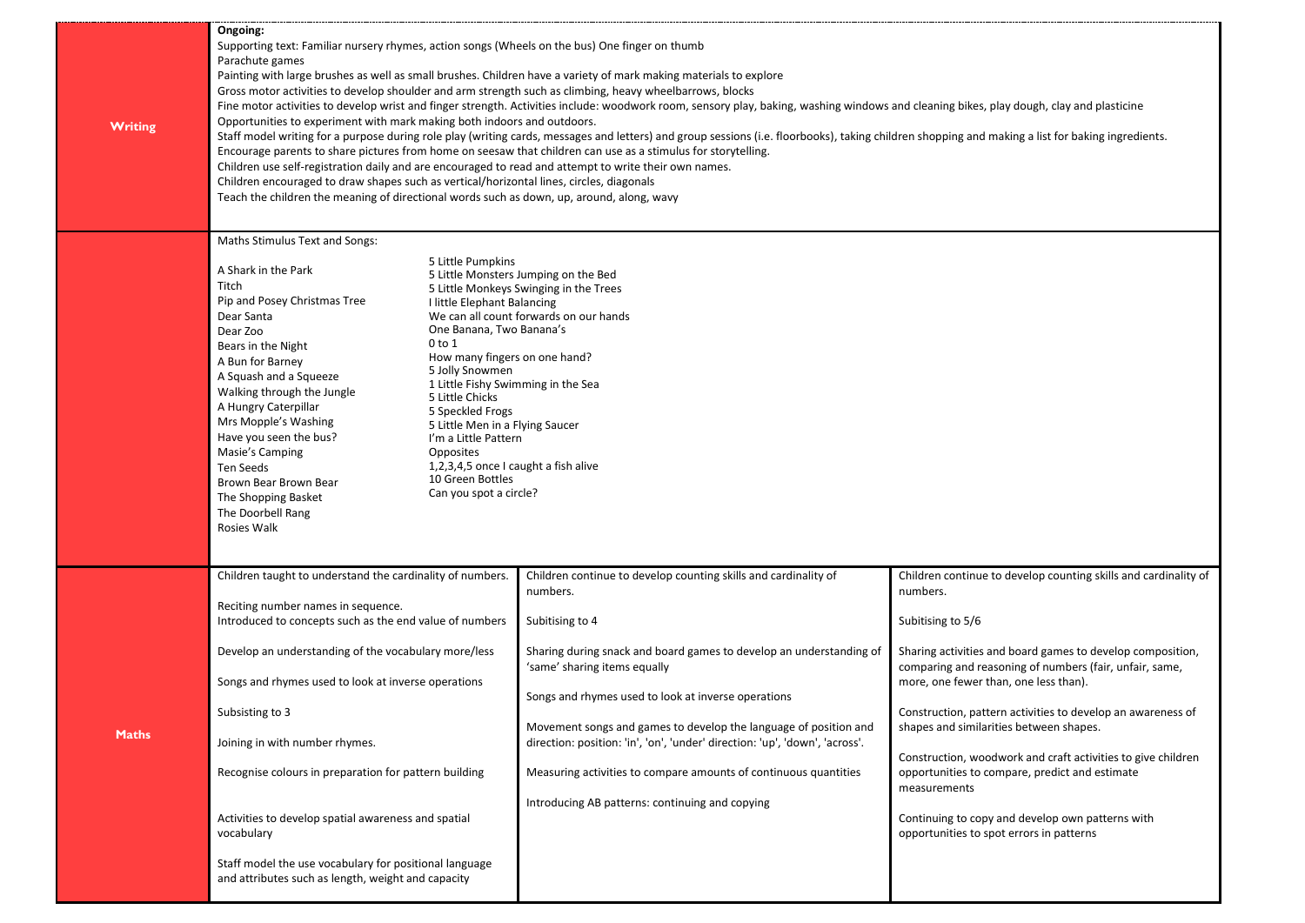| <b>Writing</b> | Ongoing:<br>Supporting text: Familiar nursery rhymes, action songs (Wheels on the bus) One finger on thumb<br>Parachute games<br>Painting with large brushes as well as small brushes. Children have a variety of mark making materials to explore<br>Gross motor activities to develop shoulder and arm strength such as climbing, heavy wheelbarrows, blocks<br>Fine motor activities to develop wrist and finger strength. Activities include: woodwork room, sensory play, baking, washing windows and cleaning bikes, play dough, clay and plasticine<br>Opportunities to experiment with mark making both indoors and outdoors.<br>Staff model writing for a purpose during role play (writing cards, messages and letters) and group sessions (i.e. floorbooks), taking children shopping and making a list for baking ingredients.<br>Encourage parents to share pictures from home on seesaw that children can use as a stimulus for storytelling.<br>Children use self-registration daily and are encouraged to read and attempt to write their own names.<br>Children encouraged to draw shapes such as vertical/horizontal lines, circles, diagonals<br>Teach the children the meaning of directional words such as down, up, around, along, wavy |                                                                                                                                                                                                                                                                                                                                                                                                                                                                                                                                        |                                                                                                                                                                                                                                                                                                                                                                                                                                                                                                                                                                                                                |  |  |
|----------------|---------------------------------------------------------------------------------------------------------------------------------------------------------------------------------------------------------------------------------------------------------------------------------------------------------------------------------------------------------------------------------------------------------------------------------------------------------------------------------------------------------------------------------------------------------------------------------------------------------------------------------------------------------------------------------------------------------------------------------------------------------------------------------------------------------------------------------------------------------------------------------------------------------------------------------------------------------------------------------------------------------------------------------------------------------------------------------------------------------------------------------------------------------------------------------------------------------------------------------------------------------------|----------------------------------------------------------------------------------------------------------------------------------------------------------------------------------------------------------------------------------------------------------------------------------------------------------------------------------------------------------------------------------------------------------------------------------------------------------------------------------------------------------------------------------------|----------------------------------------------------------------------------------------------------------------------------------------------------------------------------------------------------------------------------------------------------------------------------------------------------------------------------------------------------------------------------------------------------------------------------------------------------------------------------------------------------------------------------------------------------------------------------------------------------------------|--|--|
|                | <b>Maths Stimulus Text and Songs:</b><br>5 Little Pumpkins<br>A Shark in the Park<br>Titch<br>Pip and Posey Christmas Tree<br>I little Elephant Balancing<br>Dear Santa<br>One Banana, Two Banana's<br>Dear Zoo<br>0 to 1<br>Bears in the Night<br>How many fingers on one hand?<br>A Bun for Barney<br>5 Jolly Snowmen<br>A Squash and a Squeeze<br>1 Little Fishy Swimming in the Sea<br>Walking through the Jungle<br>5 Little Chicks<br>A Hungry Caterpillar<br>5 Speckled Frogs<br>Mrs Mopple's Washing<br>5 Little Men in a Flying Saucer<br>Have you seen the bus?<br>I'm a Little Pattern<br>Opposites<br>Masie's Camping<br>1,2,3,4,5 once I caught a fish alive<br>Ten Seeds<br>10 Green Bottles<br>Brown Bear Brown Bear<br>Can you spot a circle?<br>The Shopping Basket<br>The Doorbell Rang<br>Rosies Walk                                                                                                                                                                                                                                                                                                                                                                                                                                      | 5 Little Monsters Jumping on the Bed<br>5 Little Monkeys Swinging in the Trees<br>We can all count forwards on our hands                                                                                                                                                                                                                                                                                                                                                                                                               |                                                                                                                                                                                                                                                                                                                                                                                                                                                                                                                                                                                                                |  |  |
| <b>Maths</b>   | Children taught to understand the cardinality of numbers.<br>Reciting number names in sequence.<br>Introduced to concepts such as the end value of numbers<br>Develop an understanding of the vocabulary more/less<br>Songs and rhymes used to look at inverse operations<br>Subsisting to 3<br>Joining in with number rhymes.<br>Recognise colours in preparation for pattern building<br>Activities to develop spatial awareness and spatial<br>vocabulary<br>Staff model the use vocabulary for positional language<br>and attributes such as length, weight and capacity                                                                                                                                                                                                                                                                                                                                                                                                                                                                                                                                                                                                                                                                                  | Children continue to develop counting skills and cardinality of<br>numbers.<br>Subitising to 4<br>Sharing during snack and board games to develop an understanding of<br>'same' sharing items equally<br>Songs and rhymes used to look at inverse operations<br>Movement songs and games to develop the language of position and<br>direction: position: 'in', 'on', 'under' direction: 'up', 'down', 'across'.<br>Measuring activities to compare amounts of continuous quantities<br>Introducing AB patterns: continuing and copying | Children continue to develop counting skills and cardinality of<br>numbers.<br>Subitising to 5/6<br>Sharing activities and board games to develop composition,<br>comparing and reasoning of numbers (fair, unfair, same,<br>more, one fewer than, one less than).<br>Construction, pattern activities to develop an awareness of<br>shapes and similarities between shapes.<br>Construction, woodwork and craft activities to give children<br>opportunities to compare, predict and estimate<br>measurements<br>Continuing to copy and develop own patterns with<br>opportunities to spot errors in patterns |  |  |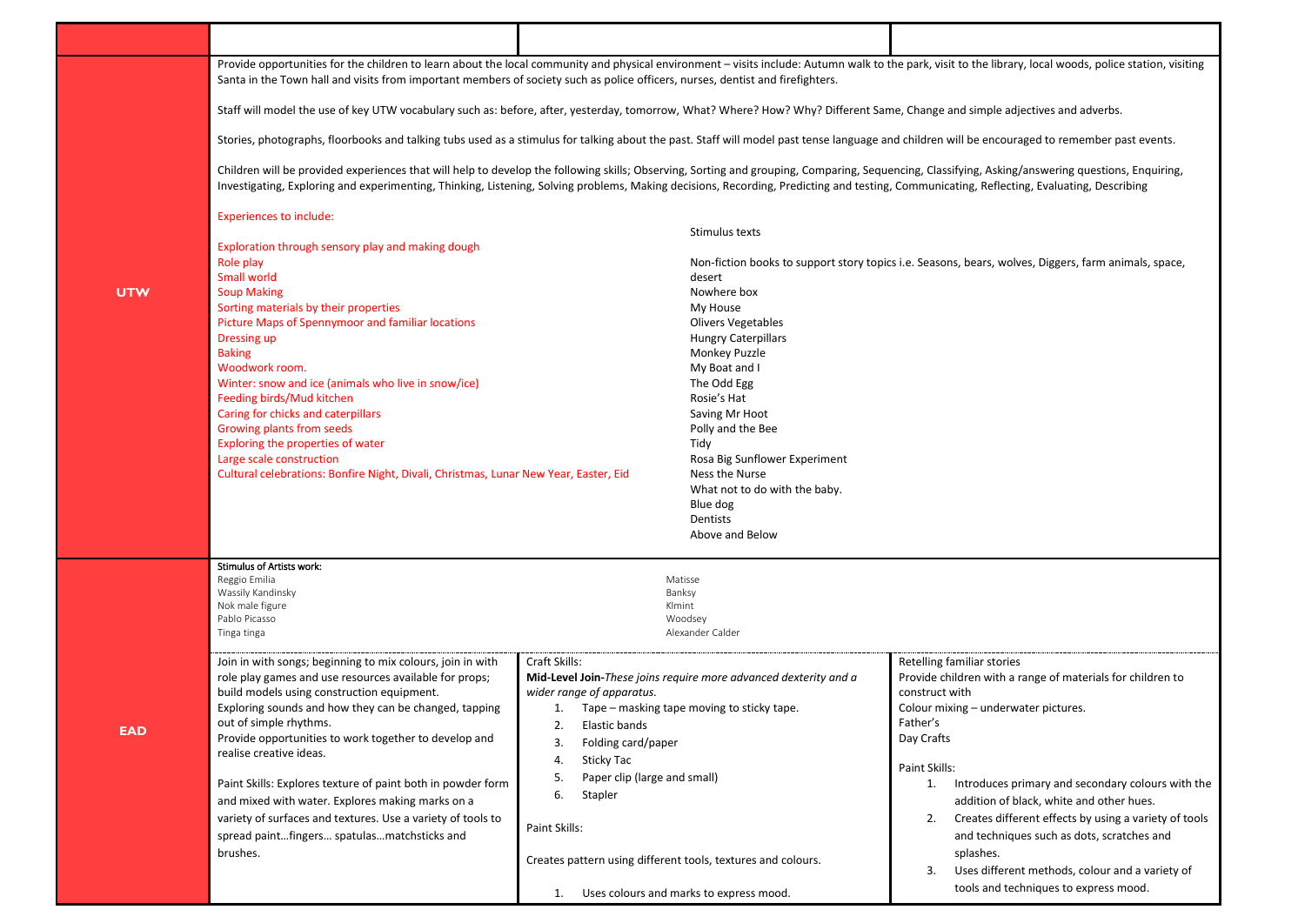Provide opportunities for the children to learn about the local community and physical environment – visits include: Autumn walk to the park, visit to the library, local woods, police station, visiting Santa in the Town hall and visits from important members of society such as police officers, nurses, dentist and firefighters.

Staff will model the use of key UTW vocabulary such as: before, after, yesterday, tomorrow, What? Where? How? Why? Different Same, Change and simple adjectives and adverbs.

Stories, photographs, floorbooks and talking tubs used as a stimulus for talking about the past. Staff will model past tense language and children will be encouraged to remember past events.

Children will be provided experiences that will help to develop the following skills; Observing, Sorting and grouping, Comparing, Sequencing, Classifying, Asking/answering questions, Enquiring, Investigating, Exploring and experimenting, Thinking, Listening, Solving problems, Making decisions, Recording, Predicting and testing, Communicating, Reflecting, Evaluating, Describing

Stimulus texts

## Experiences to include:

|                                                                                                                                                                                                                                                                                                                                                                                                                                                                                                                                                                                        | Sumuus texts                                                                                                                                                                                                                                                                                                                                                                                                                       |                                                                                                                                                                                                                                                                                                                                                                                                                                                                                                                                  |
|----------------------------------------------------------------------------------------------------------------------------------------------------------------------------------------------------------------------------------------------------------------------------------------------------------------------------------------------------------------------------------------------------------------------------------------------------------------------------------------------------------------------------------------------------------------------------------------|------------------------------------------------------------------------------------------------------------------------------------------------------------------------------------------------------------------------------------------------------------------------------------------------------------------------------------------------------------------------------------------------------------------------------------|----------------------------------------------------------------------------------------------------------------------------------------------------------------------------------------------------------------------------------------------------------------------------------------------------------------------------------------------------------------------------------------------------------------------------------------------------------------------------------------------------------------------------------|
| Exploration through sensory play and making dough<br>Role play<br>Small world<br><b>Soup Making</b><br>Sorting materials by their properties<br>Picture Maps of Spennymoor and familiar locations<br>Dressing up<br><b>Baking</b><br>Woodwork room.<br>Winter: snow and ice (animals who live in snow/ice)<br>Feeding birds/Mud kitchen<br>Caring for chicks and caterpillars<br>Growing plants from seeds<br>Exploring the properties of water<br>Large scale construction<br>Cultural celebrations: Bonfire Night, Divali, Christmas, Lunar New Year, Easter, Eid                    | desert<br>Nowhere box<br>My House<br><b>Olivers Vegetables</b><br><b>Hungry Caterpillars</b><br>Monkey Puzzle<br>My Boat and I<br>The Odd Egg<br>Rosie's Hat<br>Saving Mr Hoot<br>Polly and the Bee<br>Tidy<br>Rosa Big Sunflower Experiment<br>Ness the Nurse<br>What not to do with the baby.<br>Blue dog<br>Dentists<br>Above and Below                                                                                         | Non-fiction books to support story topics i.e. Seasons, bears, wolves, Diggers, farm animals, space,                                                                                                                                                                                                                                                                                                                                                                                                                             |
| <b>Stimulus of Artists work:</b><br>Reggio Emilia<br>Wassily Kandinsky<br>Nok male figure<br>Pablo Picasso<br>Tinga tinga                                                                                                                                                                                                                                                                                                                                                                                                                                                              | Matisse<br>Banksy<br>Klmint<br>Woodsey<br>Alexander Calder                                                                                                                                                                                                                                                                                                                                                                         |                                                                                                                                                                                                                                                                                                                                                                                                                                                                                                                                  |
| Join in with songs; beginning to mix colours, join in with<br>role play games and use resources available for props;<br>build models using construction equipment.<br>Exploring sounds and how they can be changed, tapping<br>out of simple rhythms.<br>Provide opportunities to work together to develop and<br>realise creative ideas.<br>Paint Skills: Explores texture of paint both in powder form<br>and mixed with water. Explores making marks on a<br>variety of surfaces and textures. Use a variety of tools to<br>spread paintfingers spatulasmatchsticks and<br>brushes. | Craft Skills:<br>Mid-Level Join-These joins require more advanced dexterity and a<br>wider range of apparatus.<br>Tape - masking tape moving to sticky tape.<br>1.<br>Elastic bands<br>2.<br>Folding card/paper<br>3.<br>Sticky Tac<br>4.<br>Paper clip (large and small)<br>5.<br>6.<br>Stapler<br>Paint Skills:<br>Creates pattern using different tools, textures and colours.<br>Uses colours and marks to express mood.<br>1. | Retelling familiar stories<br>Provide children with a range of materials for children to<br>construct with<br>Colour mixing - underwater pictures.<br>Father's<br>Day Crafts<br>Paint Skills:<br>Introduces primary and secondary colours with the<br>1.<br>addition of black, white and other hues.<br>Creates different effects by using a variety of tools<br>2.<br>and techniques such as dots, scratches and<br>splashes.<br>Uses different methods, colour and a variety of<br>3.<br>tools and techniques to express mood. |

**UTW**

**EAD**